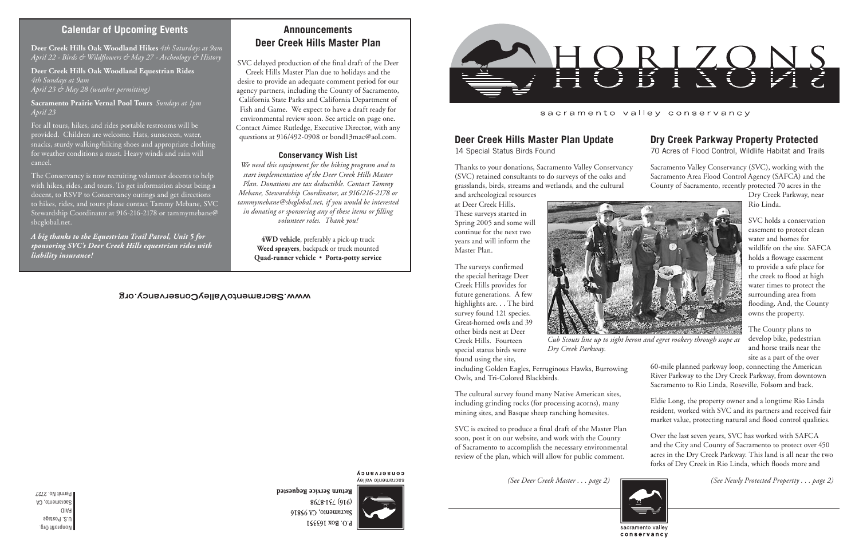Nonprofit Org. U.S. Postage PAID Sacramento, CA Permit No. 2727



#### sacramento valley conservancy

## **Calendar of Upcoming Events**

*(See Deer Creek Master . . . page 2)*

conservancy Sacramento valley



# **Dry Creek Parkway Property Protected**

70 Acres of Flood Control, Wildlife Habitat and Trails

Dry Creek Parkway, near Rio Linda.

SVC holds a conservation easement to protect clean water and homes for wildlife on the site. SAFCA holds a flowage easement to provide a safe place for the creek to flood at high water times to protect the surrounding area from flooding. And, the County owns the property.

The County plans to develop bike, pedestrian and horse trails near the site as a part of the over

60-mile planned parkway loop, connecting the American River Parkway to the Dry Creek Parkway, from downtown Sacramento to Rio Linda, Roseville, Folsom and back.

Sacramento Valley Conservancy (SVC), working with the Sacramento Area Flood Control Agency (SAFCA) and the County of Sacramento, recently protected 70 acres in the Thanks to your donations, Sacramento Valley Conservancy (SVC) retained consultants to do surveys of the oaks and grasslands, birds, streams and wetlands, and the cultural

> Eldie Long, the property owner and a longtime Rio Linda resident, worked with SVC and its partners and received fair market value, protecting natural and flood control qualities.

> Over the last seven years, SVC has worked with SAFCA and the City and County of Sacramento to protect over 450 acres in the Dry Creek Parkway. This land is all near the two forks of Dry Creek in Rio Linda, which floods more and



conservancy

## **Deer Creek Hills Master Plan Update**

14 Special Status Birds Found

and archeological resources at Deer Creek Hills. These surveys started in Spring 2005 and some will continue for the next two years and will inform the Master Plan.

The surveys confirmed the special heritage Deer Creek Hills provides for future generations. A few highlights are. . . The bird survey found 121 species. Great-horned owls and 39 other birds nest at Deer Creek Hills. Fourteen special status birds were found using the site,

including Golden Eagles, Ferruginous Hawks, Burrowing Owls, and Tri-Colored Blackbirds.

The cultural survey found many Native American sites, including grinding rocks (for processing acorns), many mining sites, and Basque sheep ranching homesites.

SVC is excited to produce a final draft of the Master Plan soon, post it on our website, and work with the County of Sacramento to accomplish the necessary environmental review of the plan, which will allow for public comment.

# **AnnouncementsDeer Creek Hills Master Plan**

SVC delayed production of the final draft of the Deer

Creek Hills Master Plan due to holidays and the desire to provide an adequate comment period for our agency partners, including the County of Sacramento, California State Parks and California Department of Fish and Game. We expect to have a draft ready for environmental review soon. See article on page one. Contact Aimee Rutledge, Executive Director, with any questions at 916/492-0908 or bond13mac@aol.com.

#### **Conservancy Wish List**

*We need this equipment for the hiking program and to start implementation of the Deer Creek Hills Master Plan. Donations are tax deductible. Contact Tammy Mebane, Stewardship Coordinator, at 916/216-2178 or tammymebane@sbcglobal.net, if you would be interested in donating or sponsoring any of these items or filling volunteer roles. Thank you!*

> **4WD vehicle**, preferably a pick-up truck **Weed sprayers**, backpack or truck mounted **Quad-runner vehicle** • **Porta-potty service**

#### WWW.SacramentoValleVConservancy.org

*Cub Scouts line up to sight heron and egret rookery through scope at* 



*Dry Creek Parkway.*

*(See Newly Protected Propertty . . . page 2)*

**Deer Creek Hills Oak Woodland Hikes** *4th Saturdays at 9am April 22 - Birds & Wildflowers & May 27 - Archeology & History*

**Deer Creek Hills Oak Woodland Equestrian Rides** *4th Sundays at 9am April 23 & May 28 (weather permitting)*

**Sacramento Prairie Vernal Pool Tours** *Sundays at 1pm April 23*

For all tours, hikes, and rides portable restrooms will be provided. Children are welcome. Hats, sunscreen, water, snacks, sturdy walking/hiking shoes and appropriate clothing for weather conditions a must. Heavy winds and rain will cancel.

The Conservancy is now recruiting volunteer docents to help with hikes, rides, and tours. To get information about being a docent, to RSVP to Conservancy outings and get directions to hikes, rides, and tours please contact Tammy Mebane, SVC Stewardship Coordinator at 916-216-2178 or tammymebane@ sbcglobal.net.

*A big thanks to the Equestrian Trail Patrol, Unit 5 for sponsoring SVC's Deer Creek Hills equestrian rides with liability insurance!*